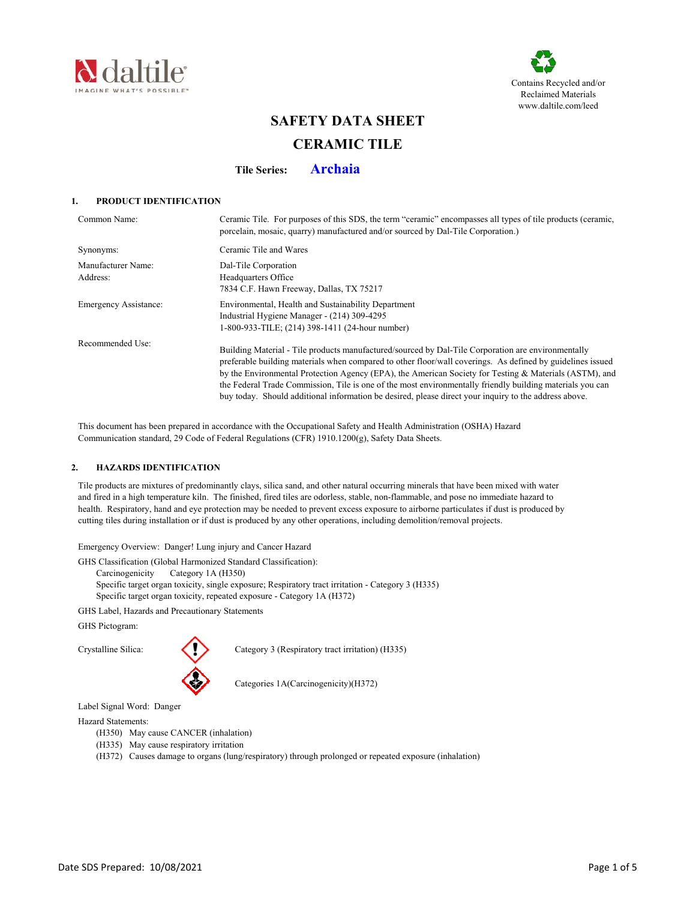



# **SAFETY DATA SHEET CERAMIC TILE**

**Tile Series: Archaia**

# **1. PRODUCT IDENTIFICATION**

| Common Name:                   | Ceramic Tile. For purposes of this SDS, the term "ceramic" encompasses all types of tile products (ceramic,<br>porcelain, mosaic, quarry) manufactured and/or sourced by Dal-Tile Corporation.)                                                                                                                                                                                                                                                                                                                                                  |
|--------------------------------|--------------------------------------------------------------------------------------------------------------------------------------------------------------------------------------------------------------------------------------------------------------------------------------------------------------------------------------------------------------------------------------------------------------------------------------------------------------------------------------------------------------------------------------------------|
| Synonyms:                      | Ceramic Tile and Wares                                                                                                                                                                                                                                                                                                                                                                                                                                                                                                                           |
| Manufacturer Name:<br>Address: | Dal-Tile Corporation<br>Headquarters Office<br>7834 C.F. Hawn Freeway, Dallas, TX 75217                                                                                                                                                                                                                                                                                                                                                                                                                                                          |
| <b>Emergency Assistance:</b>   | Environmental, Health and Sustainability Department<br>Industrial Hygiene Manager - (214) 309-4295<br>1-800-933-TILE; (214) 398-1411 (24-hour number)                                                                                                                                                                                                                                                                                                                                                                                            |
| Recommended Use:               | Building Material - Tile products manufactured/sourced by Dal-Tile Corporation are environmentally<br>preferable building materials when compared to other floor/wall coverings. As defined by guidelines issued<br>by the Environmental Protection Agency (EPA), the American Society for Testing & Materials (ASTM), and<br>the Federal Trade Commission, Tile is one of the most environmentally friendly building materials you can<br>buy today. Should additional information be desired, please direct your inquiry to the address above. |

 This document has been prepared in accordance with the Occupational Safety and Health Administration (OSHA) Hazard Communication standard, 29 Code of Federal Regulations (CFR) 1910.1200(g), Safety Data Sheets.

# **2. HAZARDS IDENTIFICATION**

 Tile products are mixtures of predominantly clays, silica sand, and other natural occurring minerals that have been mixed with water and fired in a high temperature kiln. The finished, fired tiles are odorless, stable, non-flammable, and pose no immediate hazard to health. Respiratory, hand and eye protection may be needed to prevent excess exposure to airborne particulates if dust is produced by cutting tiles during installation or if dust is produced by any other operations, including demolition/removal projects.

Emergency Overview: Danger! Lung injury and Cancer Hazard

GHS Classification (Global Harmonized Standard Classification):

Carcinogenicity Category 1A (H350)

Specific target organ toxicity, single exposure; Respiratory tract irritation - Category 3 (H335)

Specific target organ toxicity, repeated exposure - Category 1A (H372)

GHS Label, Hazards and Precautionary Statements

GHS Pictogram:



Crystalline Silica: Crystalline Silica: Category 3 (Respiratory tract irritation) (H335)

Categories 1A(Carcinogenicity)(H372)

Label Signal Word: Danger

# Hazard Statements:

- (H350) May cause CANCER (inhalation)
- (H335) May cause respiratory irritation
- (H372) Causes damage to organs (lung/respiratory) through prolonged or repeated exposure (inhalation)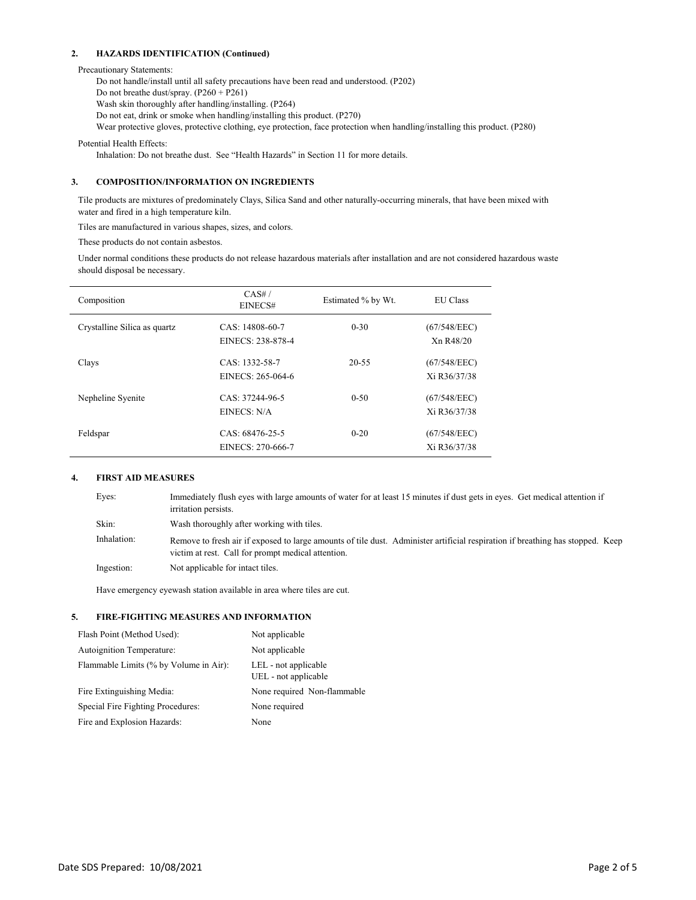# **2. HAZARDS IDENTIFICATION (Continued)**

Precautionary Statements:

Do not handle/install until all safety precautions have been read and understood. (P202) Do not breathe dust/spray. (P260 + P261) Wash skin thoroughly after handling/installing. (P264) Do not eat, drink or smoke when handling/installing this product. (P270) Wear protective gloves, protective clothing, eye protection, face protection when handling/installing this product. (P280)

Potential Health Effects:

Inhalation: Do not breathe dust. See "Health Hazards" in Section 11 for more details.

# **3. COMPOSITION/INFORMATION ON INGREDIENTS**

 Tile products are mixtures of predominately Clays, Silica Sand and other naturally-occurring minerals, that have been mixed with water and fired in a high temperature kiln.

Tiles are manufactured in various shapes, sizes, and colors.

These products do not contain asbestos.

 Under normal conditions these products do not release hazardous materials after installation and are not considered hazardous waste should disposal be necessary.

| Composition                  | CAS#/<br>EINECS#                     | Estimated % by Wt. | <b>EU</b> Class              |
|------------------------------|--------------------------------------|--------------------|------------------------------|
| Crystalline Silica as quartz | CAS: 14808-60-7<br>EINECS: 238-878-4 | $0 - 30$           | (67/548/EEC)<br>Xn R48/20    |
| Clays                        | CAS: 1332-58-7<br>EINECS: 265-064-6  | $20 - 55$          | (67/548/EEC)<br>Xi R36/37/38 |
| Nepheline Syenite            | CAS: 37244-96-5<br>EINECS: N/A       | $0 - 50$           | (67/548/EEC)<br>Xi R36/37/38 |
| Feldspar                     | CAS: 68476-25-5<br>EINECS: 270-666-7 | $0 - 20$           | (67/548/EEC)<br>Xi R36/37/38 |

# **4. FIRST AID MEASURES**

| Eyes:       | Immediately flush eyes with large amounts of water for at least 15 minutes if dust gets in eyes. Get medical attention if<br>irritation persists.                                    |
|-------------|--------------------------------------------------------------------------------------------------------------------------------------------------------------------------------------|
| Skin:       | Wash thoroughly after working with tiles.                                                                                                                                            |
| Inhalation: | Remove to fresh air if exposed to large amounts of tile dust. Administer artificial respiration if breathing has stopped. Keep<br>victim at rest. Call for prompt medical attention. |
| Ingestion:  | Not applicable for intact tiles.                                                                                                                                                     |

Have emergency eyewash station available in area where tiles are cut.

# **5. FIRE-FIGHTING MEASURES AND INFORMATION**

| Flash Point (Method Used):             | Not applicable                               |
|----------------------------------------|----------------------------------------------|
| Autoignition Temperature:              | Not applicable                               |
| Flammable Limits (% by Volume in Air): | LEL - not applicable<br>UEL - not applicable |
| Fire Extinguishing Media:              | None required Non-flammable                  |
| Special Fire Fighting Procedures:      | None required                                |
| Fire and Explosion Hazards:            | None                                         |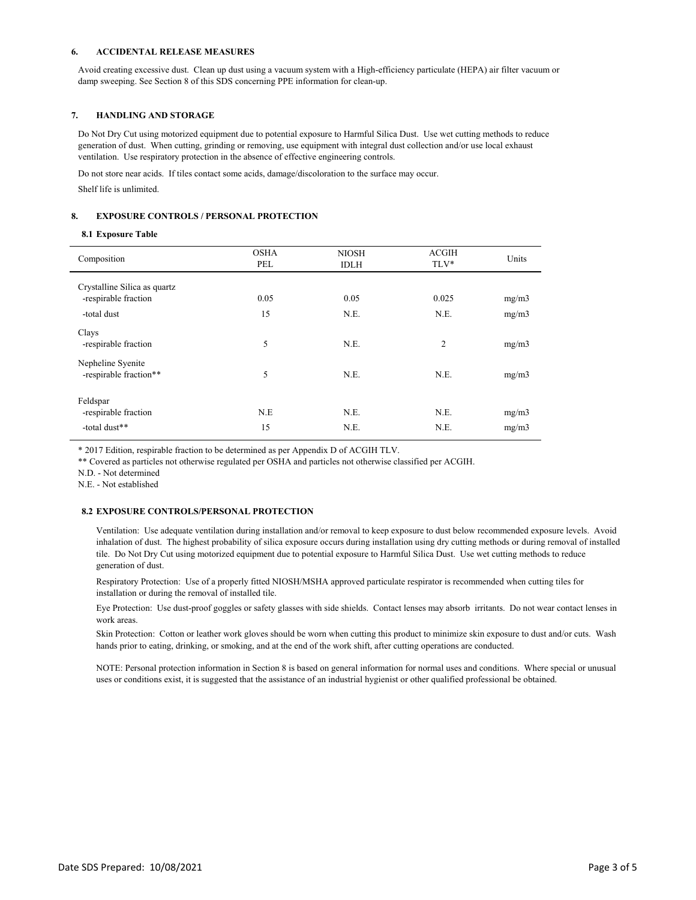## **6. ACCIDENTAL RELEASE MEASURES**

 Avoid creating excessive dust. Clean up dust using a vacuum system with a High-efficiency particulate (HEPA) air filter vacuum or damp sweeping. See Section 8 of this SDS concerning PPE information for clean-up.

### **7. HANDLING AND STORAGE**

 Do Not Dry Cut using motorized equipment due to potential exposure to Harmful Silica Dust. Use wet cutting methods to reduce generation of dust. When cutting, grinding or removing, use equipment with integral dust collection and/or use local exhaust ventilation. Use respiratory protection in the absence of effective engineering controls.

Do not store near acids. If tiles contact some acids, damage/discoloration to the surface may occur.

Shelf life is unlimited.

## **8. EXPOSURE CONTROLS / PERSONAL PROTECTION**

#### **8.1 Exposure Table**

| Composition                                       | <b>OSHA</b><br>PEL | <b>NIOSH</b><br><b>IDLH</b> | <b>ACGIH</b><br>TLV* | Units |
|---------------------------------------------------|--------------------|-----------------------------|----------------------|-------|
| Crystalline Silica as quartz                      |                    |                             |                      |       |
| -respirable fraction                              | 0.05               | 0.05                        | 0.025                | mg/m3 |
| -total dust                                       | 15                 | N.E.                        | N.E.                 | mg/m3 |
| Clays<br>-respirable fraction                     | 5                  | N.E.                        | $\overline{2}$       | mg/m3 |
| Nepheline Syenite<br>-respirable fraction**       | 5                  | N.E.                        | N.E.                 | mg/m3 |
| Feldspar<br>-respirable fraction<br>-total dust** | N.E<br>15          | N.E.<br>N.E.                | N.E.<br>N.E.         | mg/m3 |
|                                                   |                    |                             |                      | mg/m3 |

\* 2017 Edition, respirable fraction to be determined as per Appendix D of ACGIH TLV.

\*\* Covered as particles not otherwise regulated per OSHA and particles not otherwise classified per ACGIH.

N.D. - Not determined

N.E. - Not established

### **8.2 EXPOSURE CONTROLS/PERSONAL PROTECTION**

Ventilation: Use adequate ventilation during installation and/or removal to keep exposure to dust below recommended exposure levels. Avoid inhalation of dust. The highest probability of silica exposure occurs during installation using dry cutting methods or during removal of installed tile. Do Not Dry Cut using motorized equipment due to potential exposure to Harmful Silica Dust. Use wet cutting methods to reduce generation of dust.

Respiratory Protection: Use of a properly fitted NIOSH/MSHA approved particulate respirator is recommended when cutting tiles for installation or during the removal of installed tile.

Eye Protection: Use dust-proof goggles or safety glasses with side shields. Contact lenses may absorb irritants. Do not wear contact lenses in work areas.

Skin Protection: Cotton or leather work gloves should be worn when cutting this product to minimize skin exposure to dust and/or cuts. Wash hands prior to eating, drinking, or smoking, and at the end of the work shift, after cutting operations are conducted.

NOTE: Personal protection information in Section 8 is based on general information for normal uses and conditions. Where special or unusual uses or conditions exist, it is suggested that the assistance of an industrial hygienist or other qualified professional be obtained.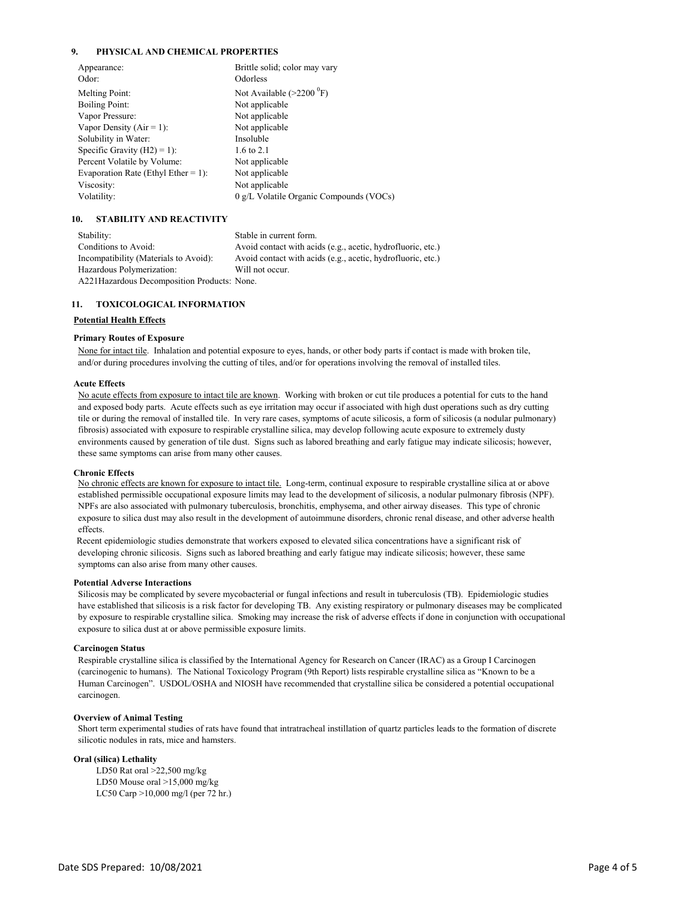# **9. PHYSICAL AND CHEMICAL PROPERTIES**

| Appearance:<br>Odor:                | Brittle solid; color may vary<br>Odorless |
|-------------------------------------|-------------------------------------------|
| Melting Point:                      | Not Available $(>2200 \degree F)$         |
| <b>Boiling Point:</b>               | Not applicable                            |
| Vapor Pressure:                     | Not applicable                            |
| Vapor Density ( $Air = 1$ ):        | Not applicable                            |
| Solubility in Water:                | Insoluble                                 |
| Specific Gravity $(H2) = 1$ :       | 1.6 to 2.1                                |
| Percent Volatile by Volume:         | Not applicable                            |
| Evaporation Rate (Ethyl Ether = 1): | Not applicable                            |
| Viscosity:                          | Not applicable                            |
| Volatility:                         | 0 g/L Volatile Organic Compounds (VOCs)   |
|                                     |                                           |

#### **10. STABILITY AND REACTIVITY**

| Stability:                                   | Stable in current form.                                     |
|----------------------------------------------|-------------------------------------------------------------|
| Conditions to Avoid:                         | Avoid contact with acids (e.g., acetic, hydrofluoric, etc.) |
| Incompatibility (Materials to Avoid):        | Avoid contact with acids (e.g., acetic, hydrofluoric, etc.) |
| Hazardous Polymerization:                    | Will not occur.                                             |
| A221 Hazardous Decomposition Products: None. |                                                             |

# **11. TOXICOLOGICAL INFORMATION**

#### **Potential Health Effects**

#### **Primary Routes of Exposure**

 None for intact tile. Inhalation and potential exposure to eyes, hands, or other body parts if contact is made with broken tile, and/or during procedures involving the cutting of tiles, and/or for operations involving the removal of installed tiles.

#### **Acute Effects**

 No acute effects from exposure to intact tile are known. Working with broken or cut tile produces a potential for cuts to the hand and exposed body parts. Acute effects such as eye irritation may occur if associated with high dust operations such as dry cutting tile or during the removal of installed tile. In very rare cases, symptoms of acute silicosis, a form of silicosis (a nodular pulmonary) fibrosis) associated with exposure to respirable crystalline silica, may develop following acute exposure to extremely dusty environments caused by generation of tile dust. Signs such as labored breathing and early fatigue may indicate silicosis; however, these same symptoms can arise from many other causes.

## **Chronic Effects**

 No chronic effects are known for exposure to intact tile. Long-term, continual exposure to respirable crystalline silica at or above established permissible occupational exposure limits may lead to the development of silicosis, a nodular pulmonary fibrosis (NPF). NPFs are also associated with pulmonary tuberculosis, bronchitis, emphysema, and other airway diseases. This type of chronic exposure to silica dust may also result in the development of autoimmune disorders, chronic renal disease, and other adverse health effects.

 Recent epidemiologic studies demonstrate that workers exposed to elevated silica concentrations have a significant risk of developing chronic silicosis. Signs such as labored breathing and early fatigue may indicate silicosis; however, these same symptoms can also arise from many other causes.

#### **Potential Adverse Interactions**

 Silicosis may be complicated by severe mycobacterial or fungal infections and result in tuberculosis (TB). Epidemiologic studies have established that silicosis is a risk factor for developing TB. Any existing respiratory or pulmonary diseases may be complicated by exposure to respirable crystalline silica. Smoking may increase the risk of adverse effects if done in conjunction with occupational exposure to silica dust at or above permissible exposure limits.

# **Carcinogen Status**

 Respirable crystalline silica is classified by the International Agency for Research on Cancer (IRAC) as a Group I Carcinogen (carcinogenic to humans). The National Toxicology Program (9th Report) lists respirable crystalline silica as "Known to be a Human Carcinogen". USDOL/OSHA and NIOSH have recommended that crystalline silica be considered a potential occupational carcinogen.

#### **Overview of Animal Testing**

 Short term experimental studies of rats have found that intratracheal instillation of quartz particles leads to the formation of discrete silicotic nodules in rats, mice and hamsters.

# **Oral (silica) Lethality**

LD50 Rat oral >22,500 mg/kg LD50 Mouse oral >15,000 mg/kg LC50 Carp >10,000 mg/l (per 72 hr.)